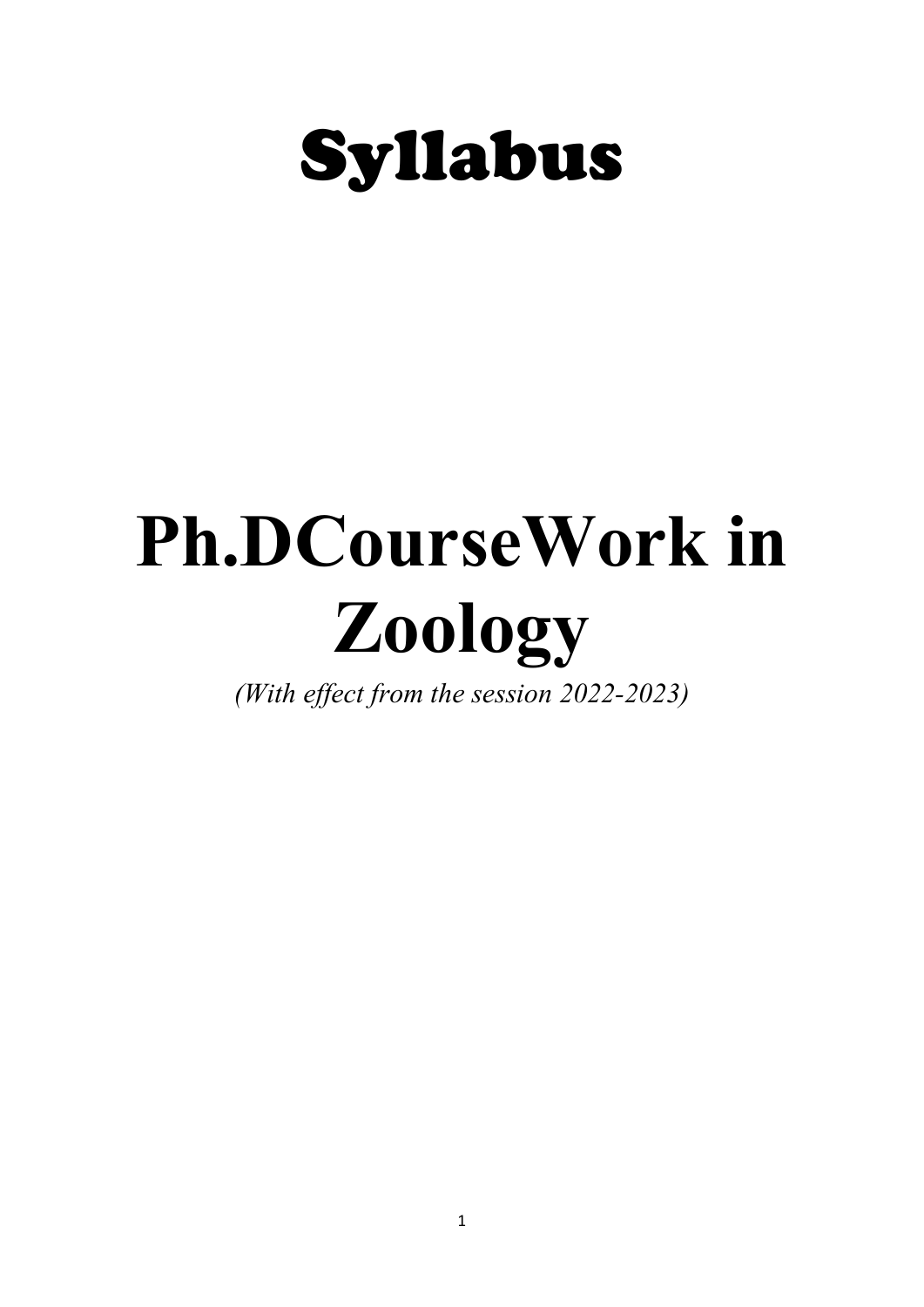

# Ph.DCourseWork in Zoology

(With effect from the session 2022-2023)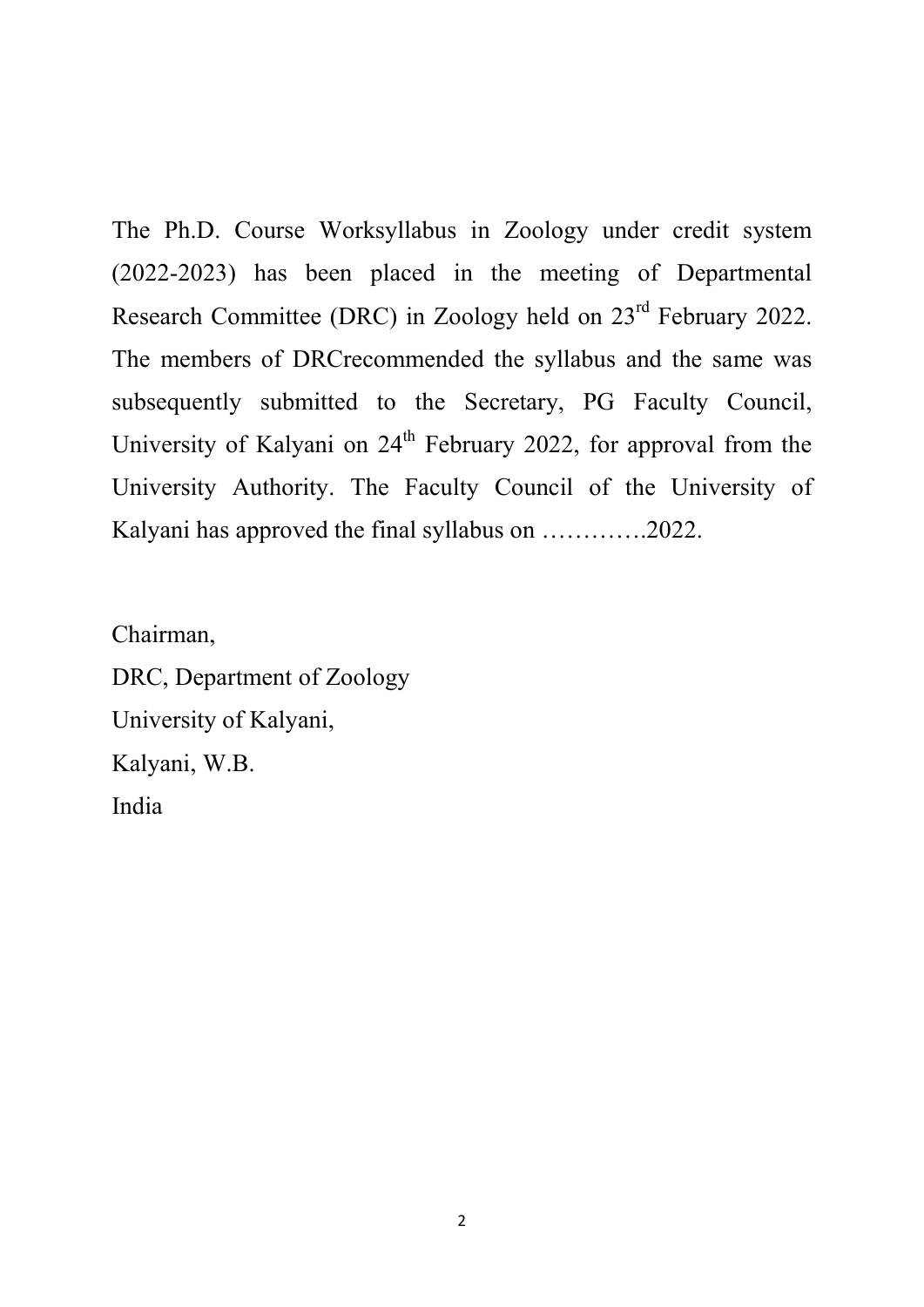The Ph.D. Course Worksyllabus in Zoology under credit system (2022-2023) has been placed in the meeting of Departmental Research Committee (DRC) in Zoology held on 23rd February 2022. The members of DRCrecommended the syllabus and the same was subsequently submitted to the Secretary, PG Faculty Council, University of Kalyani on 24<sup>th</sup> February 2022, for approval from the University Authority. The Faculty Council of the University of Kalyani has approved the final syllabus on ………….2022.

Chairman, DRC, Department of Zoology University of Kalyani, Kalyani, W.B. India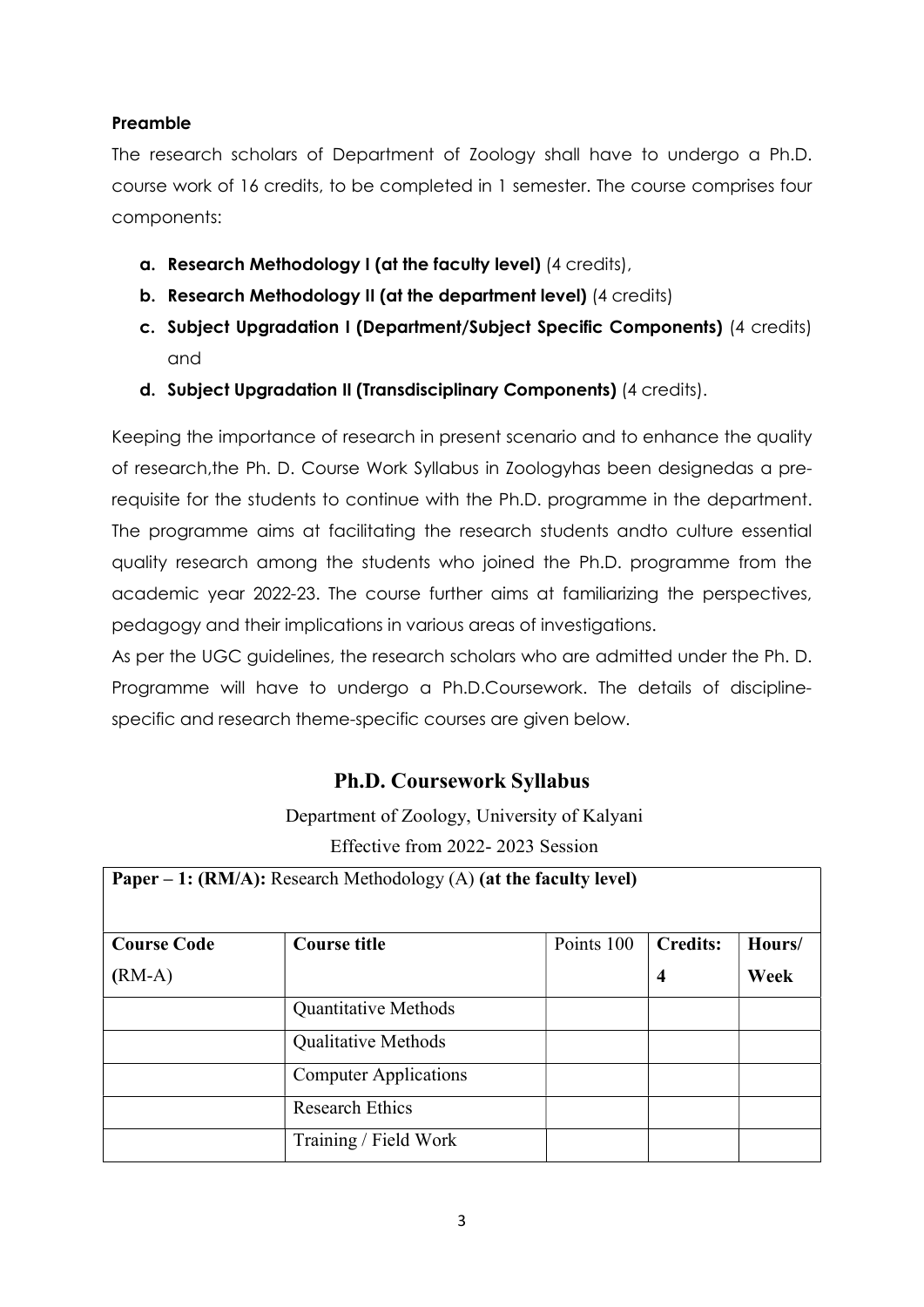## Preamble

The research scholars of Department of Zoology shall have to undergo a Ph.D. course work of 16 credits, to be completed in 1 semester. The course comprises four components:

- a. Research Methodology I (at the faculty level) (4 credits),
- b. Research Methodology II (at the department level) (4 credits)
- c. Subject Upgradation I (Department/Subject Specific Components) (4 credits) and
- d. Subject Upgradation II (Transdisciplinary Components) (4 credits).

Keeping the importance of research in present scenario and to enhance the quality of research,the Ph. D. Course Work Syllabus in Zoologyhas been designedas a prerequisite for the students to continue with the Ph.D. programme in the department. The programme aims at facilitating the research students andto culture essential quality research among the students who joined the Ph.D. programme from the academic year 2022-23. The course further aims at familiarizing the perspectives, pedagogy and their implications in various areas of investigations.

As per the UGC guidelines, the research scholars who are admitted under the Ph. D. Programme will have to undergo a Ph.D.Coursework. The details of disciplinespecific and research theme-specific courses are given below.

## Ph.D. Coursework Syllabus

Department of Zoology, University of Kalyani Effective from 2022- 2023 Session

| <b>Paper – 1: (RM/A):</b> Research Methodology (A) (at the faculty level) |                              |            |                  |        |  |  |
|---------------------------------------------------------------------------|------------------------------|------------|------------------|--------|--|--|
| <b>Course Code</b>                                                        | <b>Course title</b>          | Points 100 | <b>Credits:</b>  | Hours/ |  |  |
| $(RM-A)$                                                                  |                              |            | $\boldsymbol{4}$ | Week   |  |  |
|                                                                           | <b>Quantitative Methods</b>  |            |                  |        |  |  |
|                                                                           | <b>Qualitative Methods</b>   |            |                  |        |  |  |
|                                                                           | <b>Computer Applications</b> |            |                  |        |  |  |
|                                                                           | <b>Research Ethics</b>       |            |                  |        |  |  |
|                                                                           | Training / Field Work        |            |                  |        |  |  |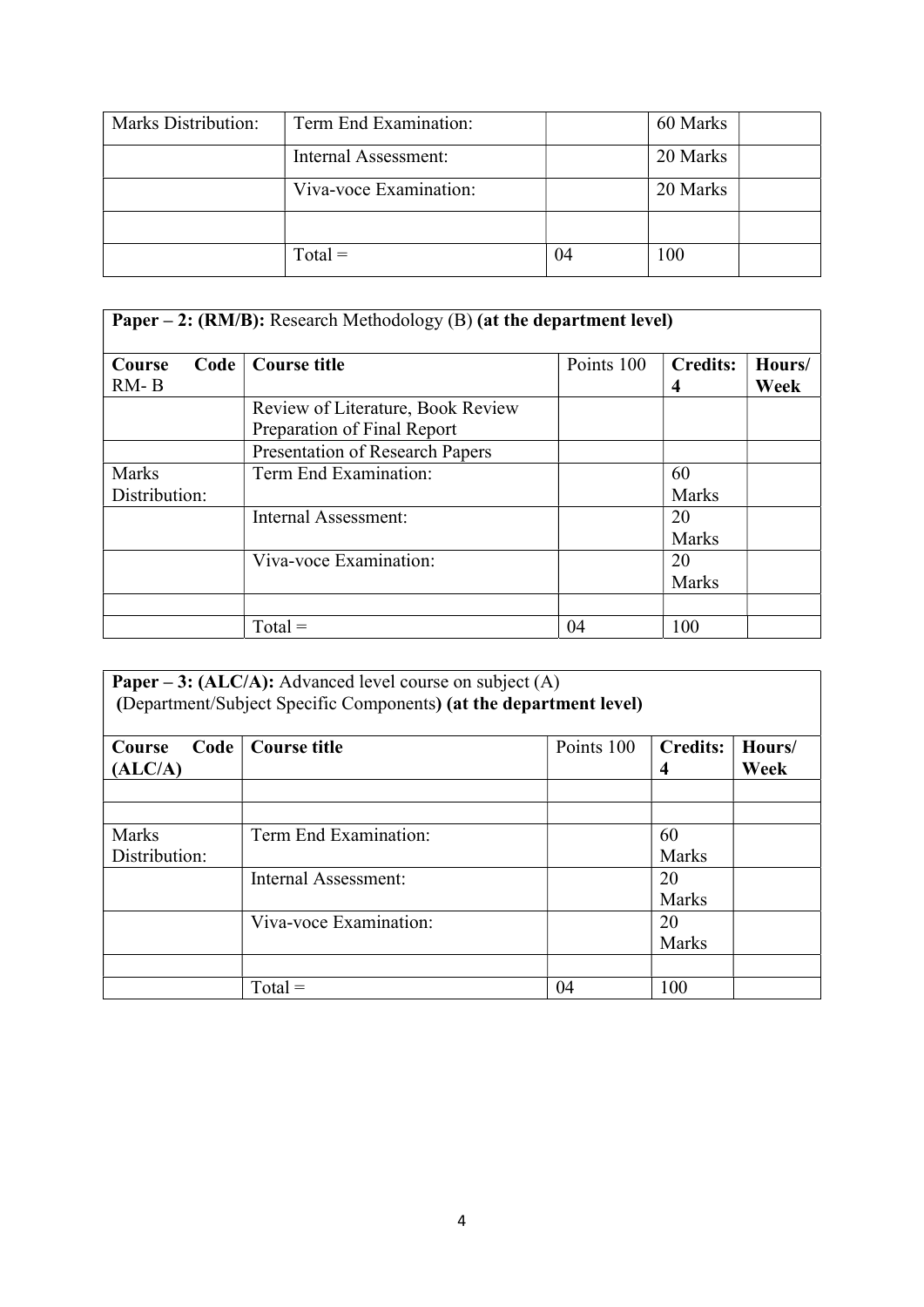| Marks Distribution: | Term End Examination:  |    | 60 Marks |
|---------------------|------------------------|----|----------|
|                     | Internal Assessment:   |    | 20 Marks |
|                     | Viva-voce Examination: |    | 20 Marks |
|                     |                        |    |          |
|                     | $Total =$              | 04 | 100      |

| <b>Paper – 2: (RM/B):</b> Research Methodology (B) (at the department level) |                                                                  |            |                      |                |  |
|------------------------------------------------------------------------------|------------------------------------------------------------------|------------|----------------------|----------------|--|
| Code<br>Course<br>$RM - B$                                                   | <b>Course title</b>                                              | Points 100 | <b>Credits:</b><br>4 | Hours/<br>Week |  |
|                                                                              | Review of Literature, Book Review<br>Preparation of Final Report |            |                      |                |  |
|                                                                              | <b>Presentation of Research Papers</b>                           |            |                      |                |  |
| <b>Marks</b><br>Distribution:                                                | Term End Examination:                                            |            | 60<br>Marks          |                |  |
|                                                                              | Internal Assessment:                                             |            | 20<br>Marks          |                |  |
|                                                                              | Viva-voce Examination:                                           |            | 20<br>Marks          |                |  |
|                                                                              |                                                                  |            |                      |                |  |
|                                                                              | $Total =$                                                        | 04         | 100                  |                |  |

| <b>Paper – 3: (ALC/A):</b> Advanced level course on subject (A)<br>(Department/Subject Specific Components) (at the department level) |                        |            |                      |                |  |
|---------------------------------------------------------------------------------------------------------------------------------------|------------------------|------------|----------------------|----------------|--|
| Code<br>Course<br>(ALC/A)                                                                                                             | Course title           | Points 100 | <b>Credits:</b><br>4 | Hours/<br>Week |  |
|                                                                                                                                       |                        |            |                      |                |  |
|                                                                                                                                       |                        |            |                      |                |  |
| Marks                                                                                                                                 | Term End Examination:  |            | 60                   |                |  |
| Distribution:                                                                                                                         |                        |            | <b>Marks</b>         |                |  |
|                                                                                                                                       | Internal Assessment:   |            | 20                   |                |  |
|                                                                                                                                       |                        |            | <b>Marks</b>         |                |  |
|                                                                                                                                       | Viva-voce Examination: |            | 20                   |                |  |
|                                                                                                                                       |                        |            | <b>Marks</b>         |                |  |
|                                                                                                                                       |                        |            |                      |                |  |
|                                                                                                                                       | $Total =$              | 04         | 100                  |                |  |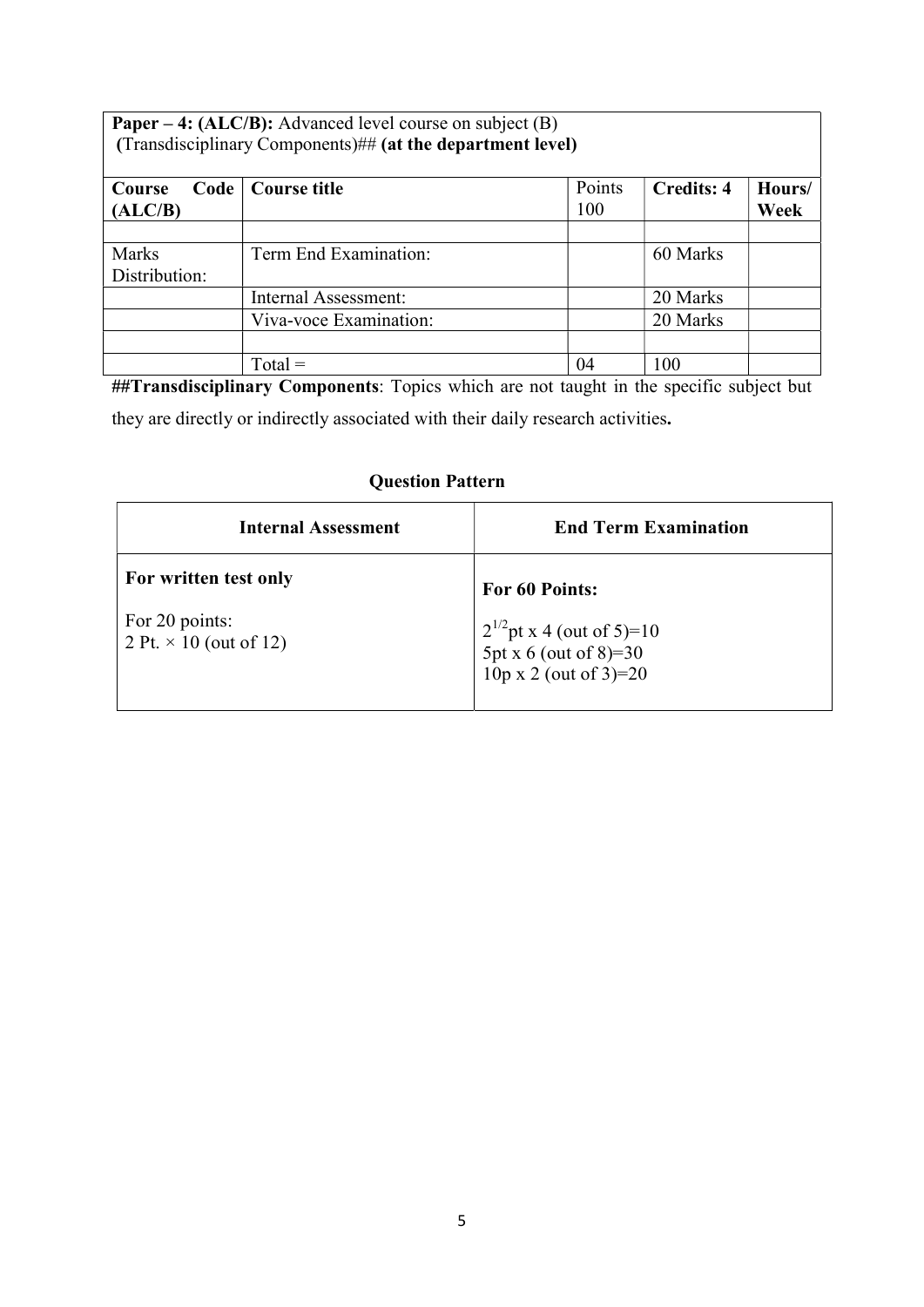| Paper – 4: (ALC/B): Advanced level course on subject (B)<br>(Transdisciplinary Components)## (at the department level) |                        |        |                   |        |  |
|------------------------------------------------------------------------------------------------------------------------|------------------------|--------|-------------------|--------|--|
| Code<br>Course                                                                                                         | <b>Course title</b>    | Points | <b>Credits: 4</b> | Hours/ |  |
| (ALC/B)                                                                                                                |                        | 100    |                   | Week   |  |
|                                                                                                                        |                        |        |                   |        |  |
| Marks                                                                                                                  | Term End Examination:  |        | 60 Marks          |        |  |
| Distribution:                                                                                                          |                        |        |                   |        |  |
|                                                                                                                        | Internal Assessment:   |        | 20 Marks          |        |  |
|                                                                                                                        | Viva-voce Examination: |        | 20 Marks          |        |  |
|                                                                                                                        |                        |        |                   |        |  |
|                                                                                                                        | $Total =$              | 04     | 100               |        |  |

##Transdisciplinary Components: Topics which are not taught in the specific subject but

they are directly or indirectly associated with their daily research activities.

## Question Pattern

| <b>Internal Assessment</b>                      | <b>End Term Examination</b>                                                      |
|-------------------------------------------------|----------------------------------------------------------------------------------|
| For written test only                           | For 60 Points:                                                                   |
| For 20 points:<br>2 Pt. $\times$ 10 (out of 12) | $2^{1/2}$ pt x 4 (out of 5)=10<br>5pt x 6 (out of 8)=30<br>10p x 2 (out of 3)=20 |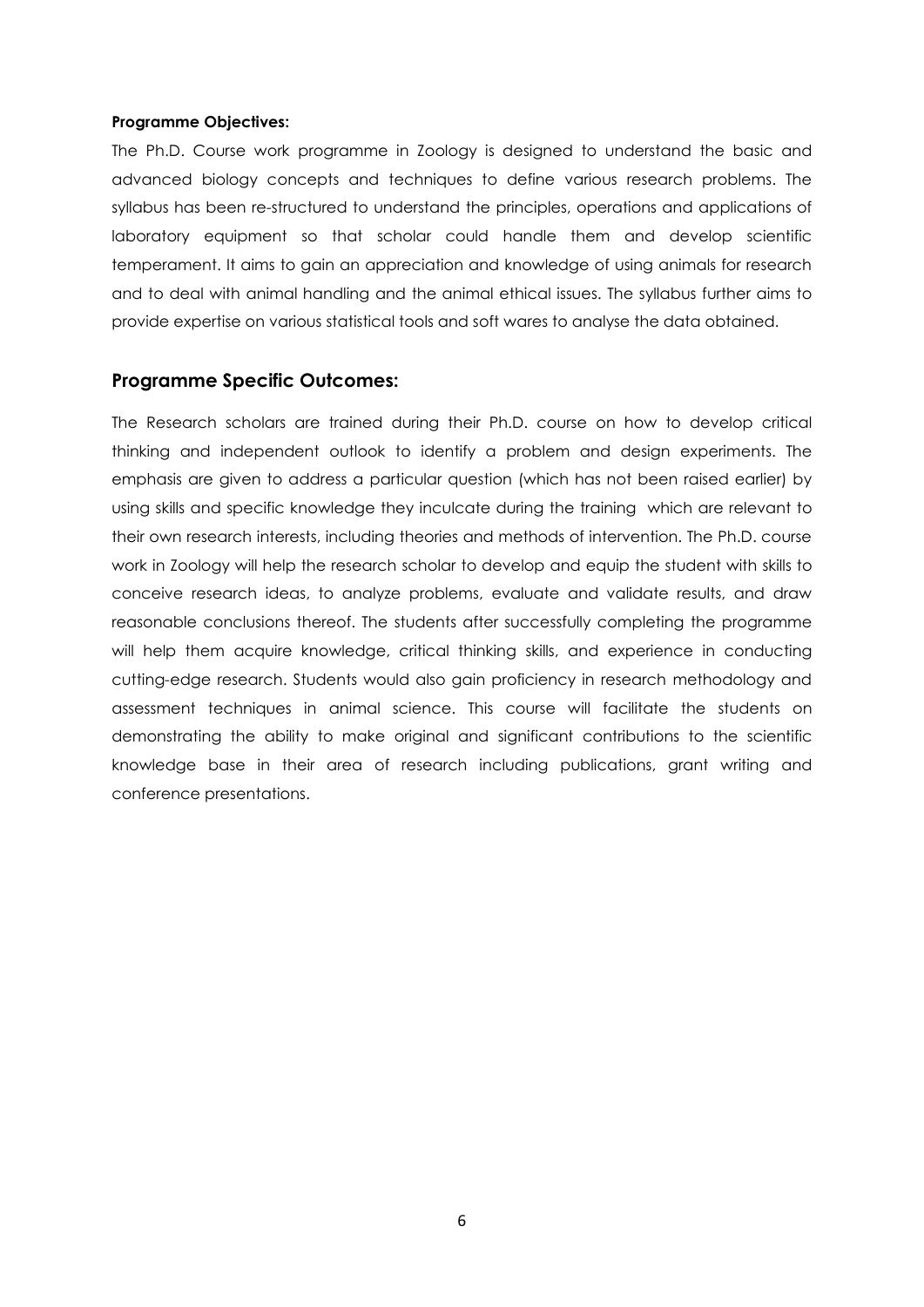#### Programme Objectives:

The Ph.D. Course work programme in Zoology is designed to understand the basic and advanced biology concepts and techniques to define various research problems. The syllabus has been re-structured to understand the principles, operations and applications of laboratory equipment so that scholar could handle them and develop scientific temperament. It aims to gain an appreciation and knowledge of using animals for research and to deal with animal handling and the animal ethical issues. The syllabus further aims to provide expertise on various statistical tools and soft wares to analyse the data obtained.

### Programme Specific Outcomes:

The Research scholars are trained during their Ph.D. course on how to develop critical thinking and independent outlook to identify a problem and design experiments. The emphasis are given to address a particular question (which has not been raised earlier) by using skills and specific knowledge they inculcate during the training which are relevant to their own research interests, including theories and methods of intervention. The Ph.D. course work in Zoology will help the research scholar to develop and equip the student with skills to conceive research ideas, to analyze problems, evaluate and validate results, and draw reasonable conclusions thereof. The students after successfully completing the programme will help them acquire knowledge, critical thinking skills, and experience in conducting cutting-edge research. Students would also gain proficiency in research methodology and assessment techniques in animal science. This course will facilitate the students on demonstrating the ability to make original and significant contributions to the scientific knowledge base in their area of research including publications, grant writing and conference presentations.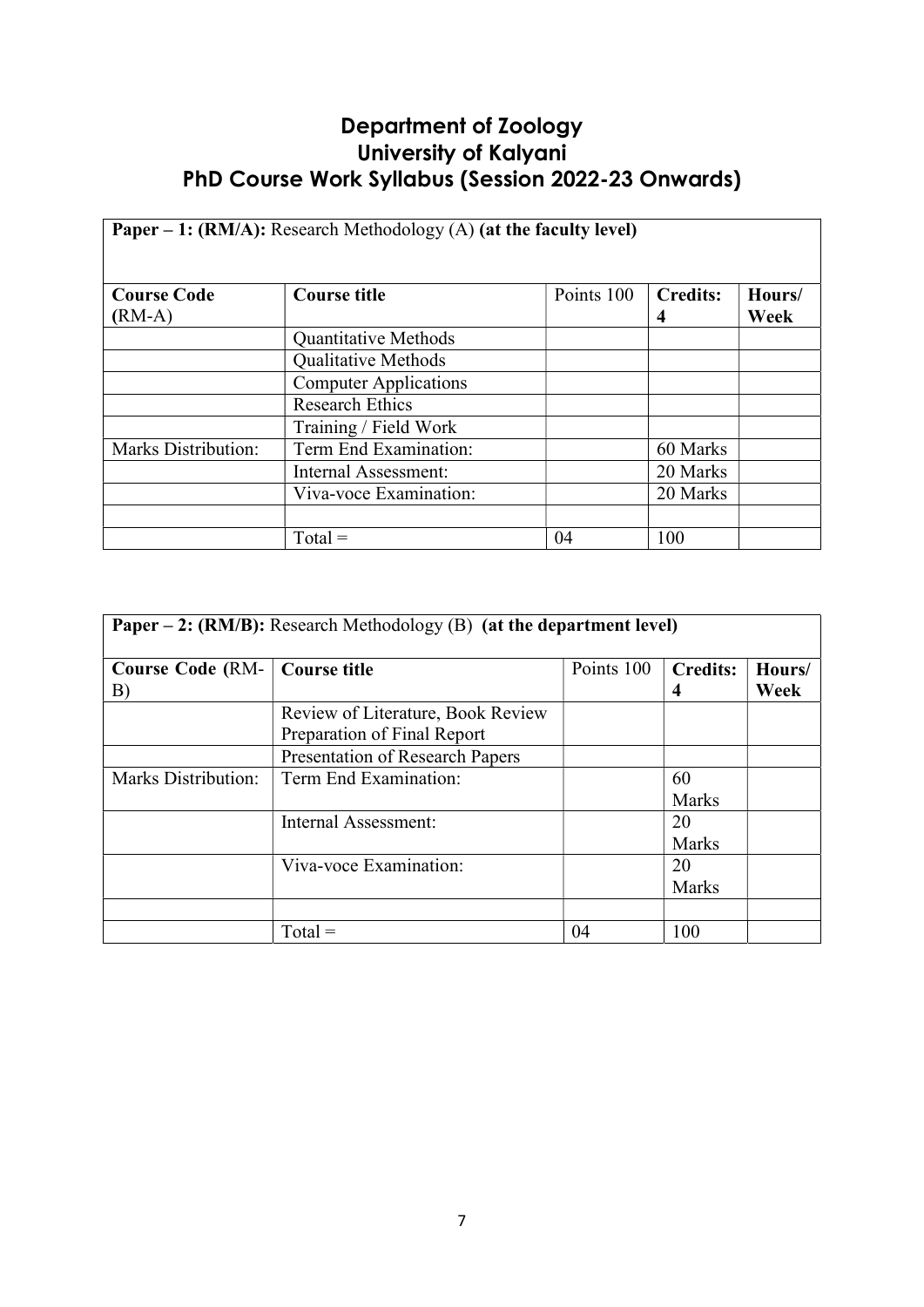## Department of Zoology University of Kalyani PhD Course Work Syllabus (Session 2022-23 Onwards)

| <b>Paper – 1: (RM/A):</b> Research Methodology (A) (at the faculty level) |                              |            |                 |        |  |
|---------------------------------------------------------------------------|------------------------------|------------|-----------------|--------|--|
|                                                                           |                              |            |                 |        |  |
| <b>Course Code</b>                                                        | <b>Course title</b>          | Points 100 | <b>Credits:</b> | Hours/ |  |
| $(RM-A)$                                                                  |                              |            | 4               | Week   |  |
|                                                                           | <b>Quantitative Methods</b>  |            |                 |        |  |
|                                                                           | <b>Qualitative Methods</b>   |            |                 |        |  |
|                                                                           | <b>Computer Applications</b> |            |                 |        |  |
|                                                                           | <b>Research Ethics</b>       |            |                 |        |  |
|                                                                           | Training / Field Work        |            |                 |        |  |
| <b>Marks Distribution:</b>                                                | Term End Examination:        |            | 60 Marks        |        |  |
|                                                                           | Internal Assessment:         |            | 20 Marks        |        |  |
|                                                                           | Viva-voce Examination:       |            | 20 Marks        |        |  |
|                                                                           |                              |            |                 |        |  |
|                                                                           | $Total =$                    | 04         | 100             |        |  |

| <b>Paper – 2: (RM/B):</b> Research Methodology (B) (at the department level) |                                                                  |            |                      |                |
|------------------------------------------------------------------------------|------------------------------------------------------------------|------------|----------------------|----------------|
| <b>Course Code (RM-</b><br>B)                                                | <b>Course title</b>                                              | Points 100 | <b>Credits:</b><br>4 | Hours/<br>Week |
|                                                                              | Review of Literature, Book Review<br>Preparation of Final Report |            |                      |                |
|                                                                              | <b>Presentation of Research Papers</b>                           |            |                      |                |
| Marks Distribution:                                                          | Term End Examination:                                            |            | 60<br><b>Marks</b>   |                |
|                                                                              | Internal Assessment:                                             |            | 20<br><b>Marks</b>   |                |
|                                                                              | Viva-voce Examination:                                           |            | 20<br><b>Marks</b>   |                |
|                                                                              |                                                                  |            |                      |                |
|                                                                              | $Total =$                                                        | 04         | 100                  |                |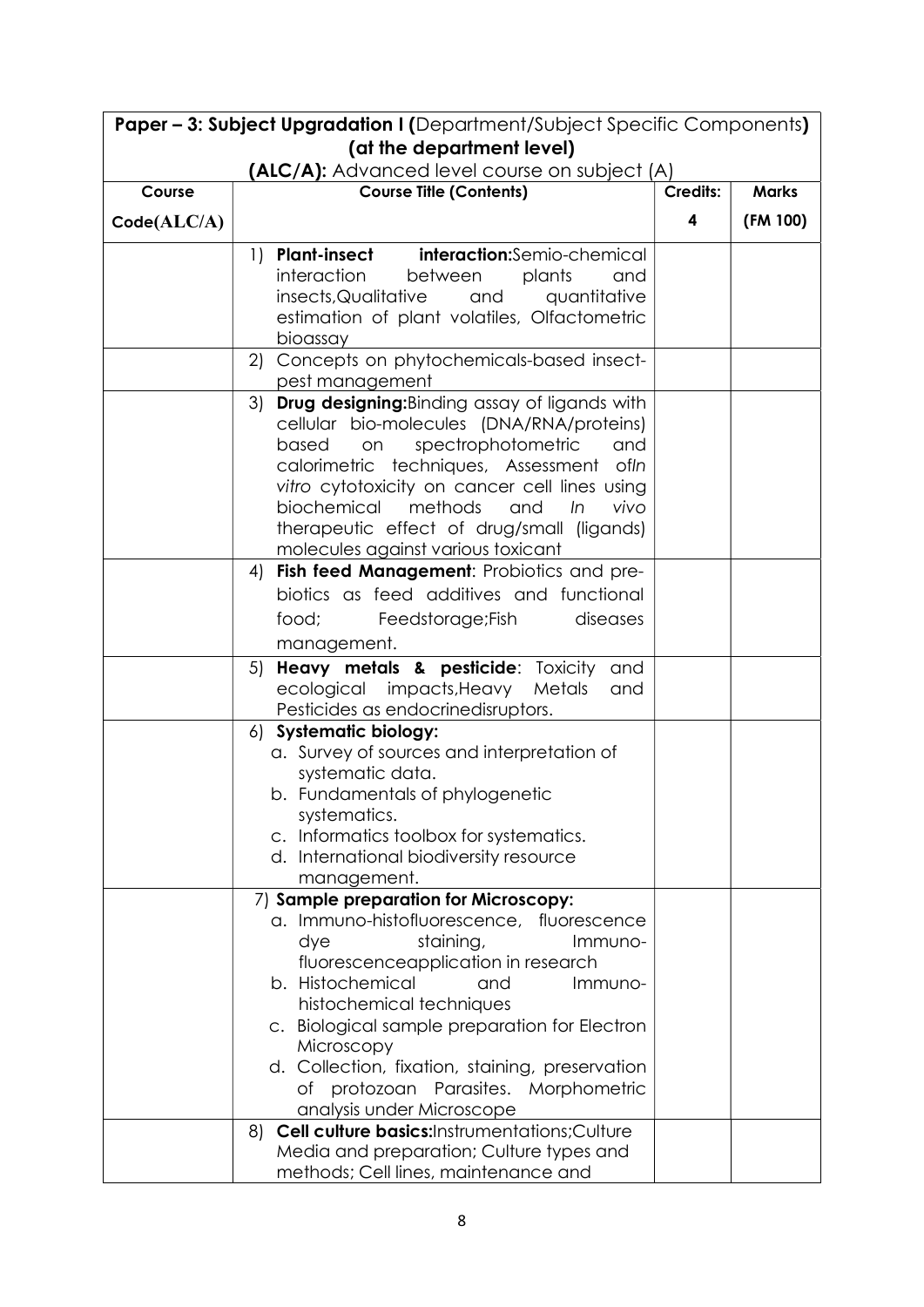| <b>Paper - 3: Subject Upgradation I (Department/Subject Specific Components)</b> |                                                                                                                                                                                                                                                                                                                                                                                                                                                                            |                 |              |  |
|----------------------------------------------------------------------------------|----------------------------------------------------------------------------------------------------------------------------------------------------------------------------------------------------------------------------------------------------------------------------------------------------------------------------------------------------------------------------------------------------------------------------------------------------------------------------|-----------------|--------------|--|
|                                                                                  | (at the department level)                                                                                                                                                                                                                                                                                                                                                                                                                                                  |                 |              |  |
| Course                                                                           | (ALC/A): Advanced level course on subject (A)<br><b>Course Title (Contents)</b>                                                                                                                                                                                                                                                                                                                                                                                            | <b>Credits:</b> | <b>Marks</b> |  |
|                                                                                  |                                                                                                                                                                                                                                                                                                                                                                                                                                                                            |                 |              |  |
| Code(ALC/A)                                                                      |                                                                                                                                                                                                                                                                                                                                                                                                                                                                            | 4               | (FM 100)     |  |
|                                                                                  | interaction:Semio-chemical<br><b>Plant-insect</b><br>1)<br>interaction<br>between<br>plants<br>and<br>insects, Qualitative<br>and<br>quantitative<br>estimation of plant volatiles, Olfactometric<br>bioassay                                                                                                                                                                                                                                                              |                 |              |  |
|                                                                                  | Concepts on phytochemicals-based insect-<br>2)<br>pest management                                                                                                                                                                                                                                                                                                                                                                                                          |                 |              |  |
|                                                                                  | <b>Drug designing:</b> Binding assay of ligands with<br>3)<br>cellular bio-molecules (DNA/RNA/proteins)<br>spectrophotometric<br>on<br>and<br>based<br>calorimetric techniques, Assessment<br>ofln<br>vitro cytotoxicity on cancer cell lines using<br>biochemical<br>methods<br>and<br>In<br>vivo<br>therapeutic effect of drug/small (ligands)<br>molecules against various toxicant                                                                                     |                 |              |  |
|                                                                                  | Fish feed Management: Probiotics and pre-<br>4)<br>biotics as feed additives and functional<br>food;<br>Feedstorage;Fish<br>diseases<br>management.                                                                                                                                                                                                                                                                                                                        |                 |              |  |
|                                                                                  | Heavy metals & pesticide: Toxicity<br>5)<br>and<br>ecological impacts, Heavy<br>Metals<br>and<br>Pesticides as endocrinedisruptors.                                                                                                                                                                                                                                                                                                                                        |                 |              |  |
|                                                                                  | <b>Systematic biology:</b><br>6)<br>a. Survey of sources and interpretation of<br>systematic data.<br>b. Fundamentals of phylogenetic<br>systematics.<br>c. Informatics toolbox for systematics.<br>d. International biodiversity resource<br>management.                                                                                                                                                                                                                  |                 |              |  |
|                                                                                  | 7) Sample preparation for Microscopy:<br>a. Immuno-histofluorescence, fluorescence<br>staining,<br>dye<br>Immuno-<br>fluorescenceapplication in research<br>b. Histochemical<br>and<br>Immuno-<br>histochemical techniques<br>c. Biological sample preparation for Electron<br>Microscopy<br>d. Collection, fixation, staining, preservation<br>protozoan Parasites. Morphometric<br>Оf<br>analysis under Microscope<br>Cell culture basics:Instrumentations;Culture<br>8) |                 |              |  |
|                                                                                  | Media and preparation; Culture types and<br>methods; Cell lines, maintenance and                                                                                                                                                                                                                                                                                                                                                                                           |                 |              |  |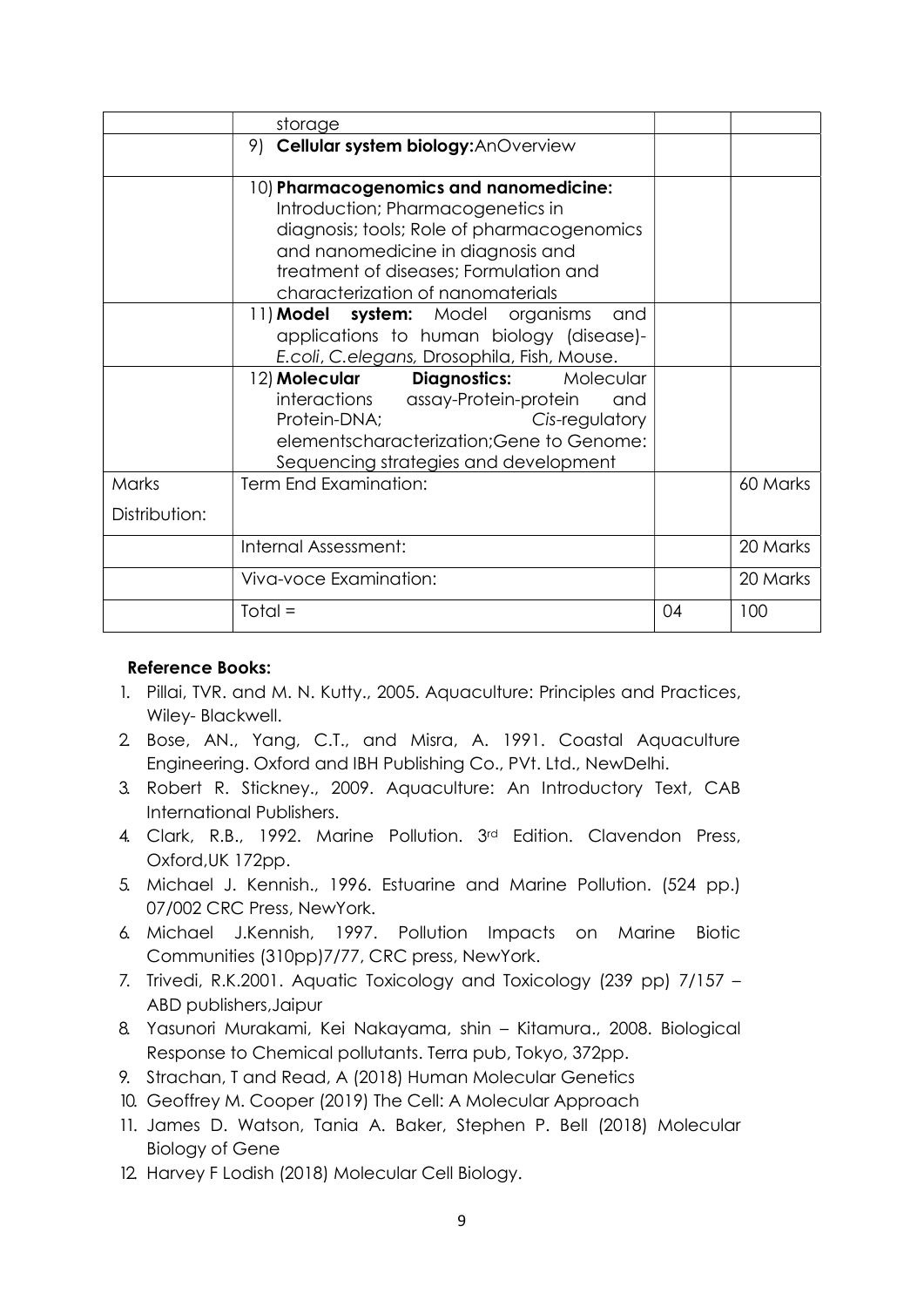|               | storage                                                                                                                                                                                                                                       |    |          |
|---------------|-----------------------------------------------------------------------------------------------------------------------------------------------------------------------------------------------------------------------------------------------|----|----------|
|               | 9)<br>Cellular system biology: AnOverview                                                                                                                                                                                                     |    |          |
|               | 10) Pharmacogenomics and nanomedicine:<br>Introduction; Pharmacogenetics in<br>diagnosis; tools; Role of pharmacogenomics<br>and nanomedicine in diagnosis and<br>treatment of diseases; Formulation and<br>characterization of nanomaterials |    |          |
|               | 11) Model system: Model organisms<br>and<br>applications to human biology (disease)-<br>E.coli, C.elegans, Drosophila, Fish, Mouse.                                                                                                           |    |          |
|               | 12) Molecular Diagnostics: Molecular<br>interactions assay-Protein-protein<br>and<br>Protein-DNA;<br>Cis-regulatory<br>elementscharacterization; Gene to Genome:<br>Sequencing strategies and development                                     |    |          |
| Marks         | Term End Examination:                                                                                                                                                                                                                         |    | 60 Marks |
| Distribution: |                                                                                                                                                                                                                                               |    |          |
|               | Internal Assessment:                                                                                                                                                                                                                          |    | 20 Marks |
|               | Viva-voce Examination:                                                                                                                                                                                                                        |    | 20 Marks |
|               | $Total =$                                                                                                                                                                                                                                     | 04 | 100      |

## Reference Books:

- 1. Pillai, TVR. and M. N. Kutty., 2005. Aquaculture: Principles and Practices, Wiley- Blackwell.
- 2. Bose, AN., Yang, C.T., and Misra, A. 1991. Coastal Aquaculture Engineering. Oxford and IBH Publishing Co., PVt. Ltd., NewDelhi.
- 3. Robert R. Stickney., 2009. Aquaculture: An Introductory Text, CAB International Publishers.
- 4. Clark, R.B., 1992. Marine Pollution. 3rd Edition. Clavendon Press, Oxford,UK 172pp.
- 5. Michael J. Kennish., 1996. Estuarine and Marine Pollution. (524 pp.) 07/002 CRC Press, NewYork.
- 6. Michael J.Kennish, 1997. Pollution Impacts on Marine Biotic Communities (310pp)7/77, CRC press, NewYork.
- 7. Trivedi, R.K.2001. Aquatic Toxicology and Toxicology (239 pp) 7/157 ABD publishers,Jaipur
- 8. Yasunori Murakami, Kei Nakayama, shin Kitamura., 2008. Biological Response to Chemical pollutants. Terra pub, Tokyo, 372pp.
- 9. Strachan, T and Read, A (2018) Human Molecular Genetics
- 10. Geoffrey M. Cooper (2019) The Cell: A Molecular Approach
- 11. James D. Watson, Tania A. Baker, Stephen P. Bell (2018) Molecular Biology of Gene
- 12. Harvey F Lodish (2018) Molecular Cell Biology.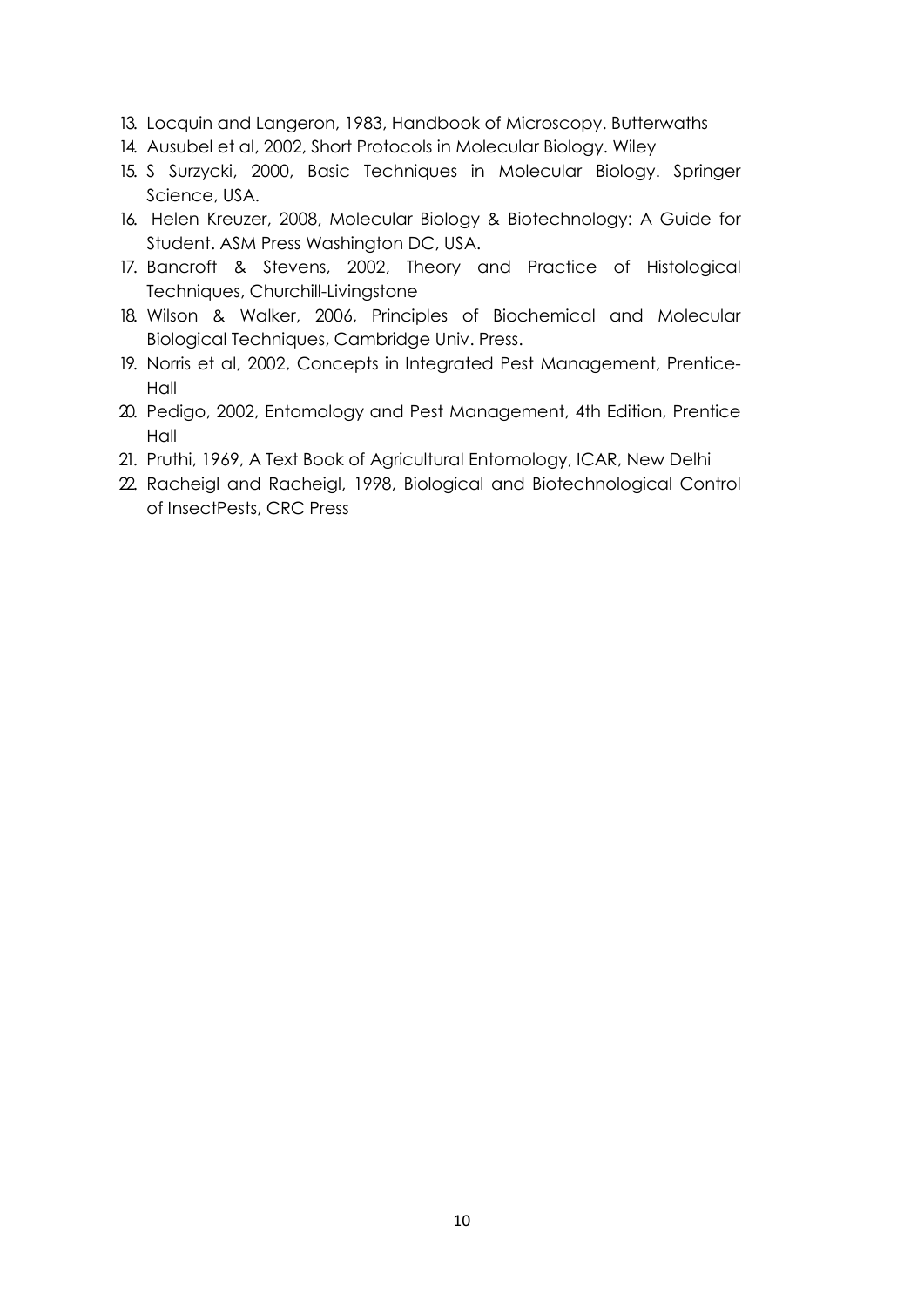- 13. Locquin and Langeron, 1983, Handbook of Microscopy. Butterwaths
- 14. Ausubel et al, 2002, Short Protocols in Molecular Biology. Wiley
- 15. S Surzycki, 2000, Basic Techniques in Molecular Biology. Springer Science, USA.
- 16. Helen Kreuzer, 2008, Molecular Biology & Biotechnology: A Guide for Student. ASM Press Washington DC, USA.
- 17. Bancroft & Stevens, 2002, Theory and Practice of Histological Techniques, Churchill-Livingstone
- 18. Wilson & Walker, 2006, Principles of Biochemical and Molecular Biological Techniques, Cambridge Univ. Press.
- 19. Norris et al, 2002, Concepts in Integrated Pest Management, Prentice-Hall
- 20. Pedigo, 2002, Entomology and Pest Management, 4th Edition, Prentice Hall
- 21. Pruthi, 1969, A Text Book of Agricultural Entomology, ICAR, New Delhi
- 22. Racheigl and Racheigl, 1998, Biological and Biotechnological Control of InsectPests, CRC Press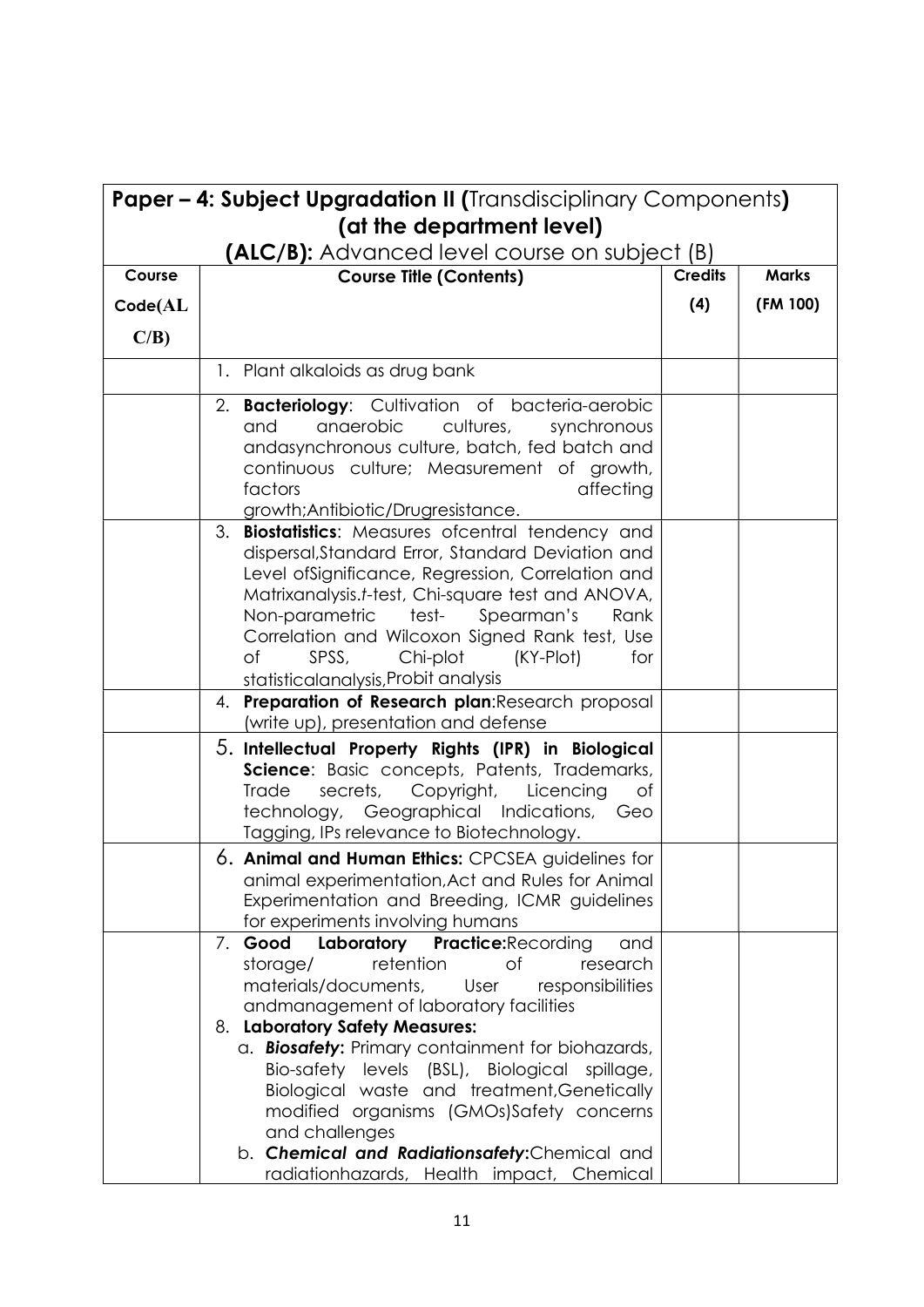| <b>Paper - 4: Subject Upgradation II (Transdisciplinary Components)</b><br>(at the department level) |                                                                                                                                                                                                                                                                                                                                                                                                                                                                                                                                                 |                |              |  |  |
|------------------------------------------------------------------------------------------------------|-------------------------------------------------------------------------------------------------------------------------------------------------------------------------------------------------------------------------------------------------------------------------------------------------------------------------------------------------------------------------------------------------------------------------------------------------------------------------------------------------------------------------------------------------|----------------|--------------|--|--|
|                                                                                                      | <b>(ALC/B):</b> Advanced level course on subject (B)                                                                                                                                                                                                                                                                                                                                                                                                                                                                                            |                |              |  |  |
| Course                                                                                               | <b>Course Title (Contents)</b>                                                                                                                                                                                                                                                                                                                                                                                                                                                                                                                  | <b>Credits</b> | <b>Marks</b> |  |  |
| Code(AL)                                                                                             |                                                                                                                                                                                                                                                                                                                                                                                                                                                                                                                                                 | (4)            | (FM 100)     |  |  |
| $C/B$ )                                                                                              |                                                                                                                                                                                                                                                                                                                                                                                                                                                                                                                                                 |                |              |  |  |
|                                                                                                      | 1. Plant alkaloids as drug bank                                                                                                                                                                                                                                                                                                                                                                                                                                                                                                                 |                |              |  |  |
|                                                                                                      | 2. Bacteriology: Cultivation of bacteria-aerobic<br>anaerobic<br>cultures,<br>and<br>synchronous<br>andasynchronous culture, batch, fed batch and<br>continuous culture; Measurement of growth,<br>factors<br>affecting<br>growth;Antibiotic/Drugresistance.                                                                                                                                                                                                                                                                                    |                |              |  |  |
|                                                                                                      | 3. Biostatistics: Measures ofcentral tendency and<br>dispersal, Standard Error, Standard Deviation and<br>Level ofSignificance, Regression, Correlation and<br>Matrixanalysis.t-test, Chi-square test and ANOVA,<br>Non-parametric test- Spearman's<br>Rank<br>Correlation and Wilcoxon Signed Rank test, Use<br>SPSS,<br>Chi-plot<br>Οf<br>(KY-Plot)<br>for<br>statisticalanalysis, Probit analysis                                                                                                                                            |                |              |  |  |
|                                                                                                      | 4. Preparation of Research plan: Research proposal<br>(write up), presentation and defense                                                                                                                                                                                                                                                                                                                                                                                                                                                      |                |              |  |  |
|                                                                                                      | 5. Intellectual Property Rights (IPR) in Biological<br>Science: Basic concepts, Patents, Trademarks,<br>Copyright,<br>Trade<br>secrets,<br>Licencing<br>Оf<br>technology, Geographical Indications, Geo<br>Tagging, IPs relevance to Biotechnology.                                                                                                                                                                                                                                                                                             |                |              |  |  |
|                                                                                                      | 6. Animal and Human Ethics: CPCSEA guidelines for<br>animal experimentation, Act and Rules for Animal<br>Experimentation and Breeding, ICMR guidelines<br>for experiments involving humans                                                                                                                                                                                                                                                                                                                                                      |                |              |  |  |
|                                                                                                      | Good<br>Laboratory Practice: Recording<br>and<br>7.<br>storage/<br>retention<br>research<br>Οf<br>materials/documents,<br>responsibilities<br>User<br>andmanagement of laboratory facilities<br>8. Laboratory Safety Measures:<br>a. Biosafety: Primary containment for biohazards,<br>Bio-safety levels (BSL), Biological spillage,<br>Biological waste and treatment, Genetically<br>modified organisms (GMOs)Safety concerns<br>and challenges<br>b. Chemical and Radiationsafety: Chemical and<br>radiationhazards, Health impact, Chemical |                |              |  |  |